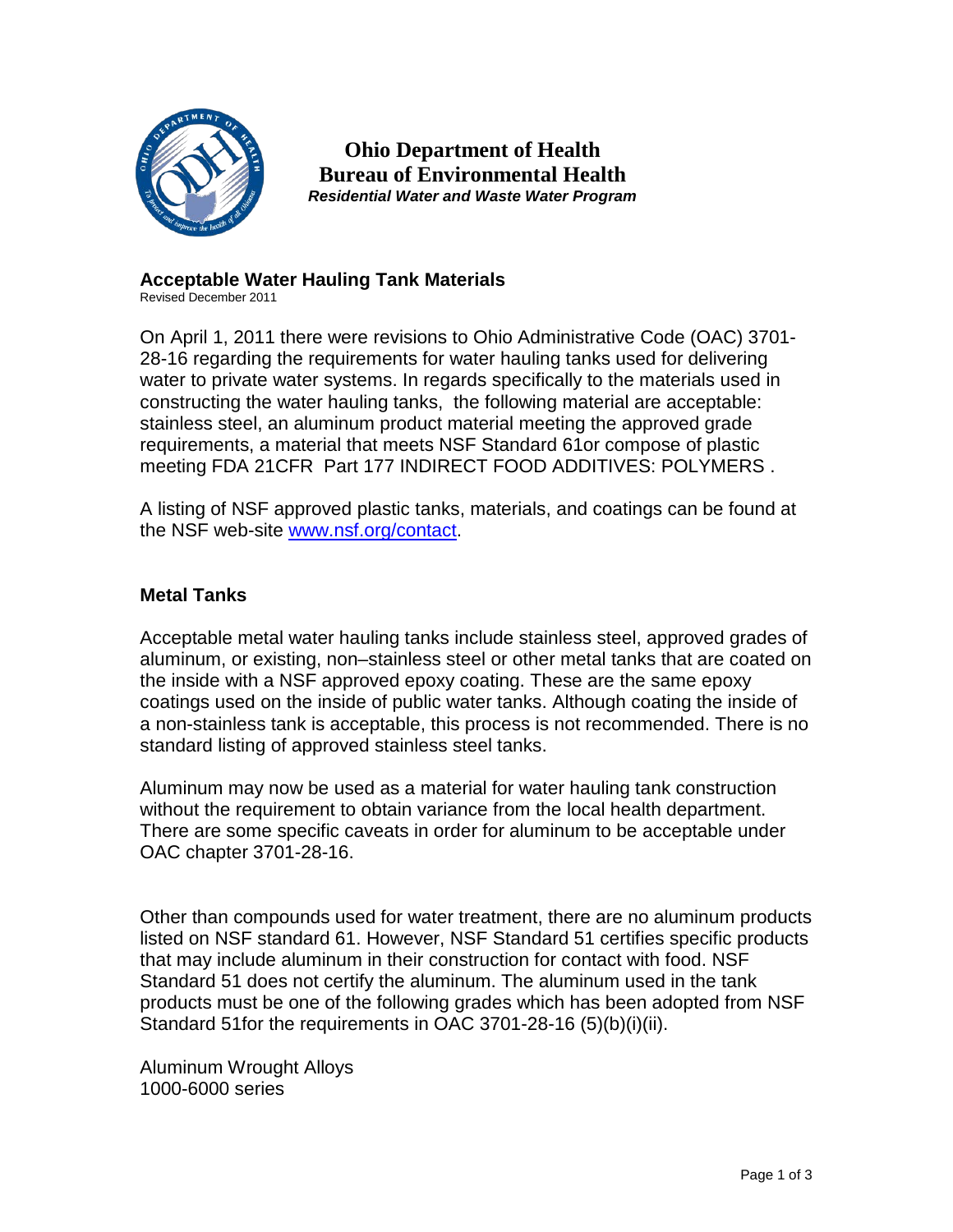

**Ohio Department of Health Bureau of Environmental Health** *Residential Water and Waste Water Program*

# **Acceptable Water Hauling Tank Materials**

Revised December 2011

On April 1, 2011 there were revisions to Ohio Administrative Code (OAC) 3701- 28-16 regarding the requirements for water hauling tanks used for delivering water to private water systems. In regards specifically to the materials used in constructing the water hauling tanks, the following material are acceptable: stainless steel, an aluminum product material meeting the approved grade requirements, a material that meets NSF Standard 61or compose of plastic meeting FDA 21CFR Part 177 INDIRECT FOOD ADDITIVES: POLYMERS .

A listing of NSF approved plastic tanks, materials, and coatings can be found at the NSF web-site [www.nsf.org/contact.](http://www.nsf.org/contact)

# **Metal Tanks**

Acceptable metal water hauling tanks include stainless steel, approved grades of aluminum, or existing, non–stainless steel or other metal tanks that are coated on the inside with a NSF approved epoxy coating. These are the same epoxy coatings used on the inside of public water tanks. Although coating the inside of a non-stainless tank is acceptable, this process is not recommended. There is no standard listing of approved stainless steel tanks.

Aluminum may now be used as a material for water hauling tank construction without the requirement to obtain variance from the local health department. There are some specific caveats in order for aluminum to be acceptable under OAC chapter 3701-28-16.

Other than compounds used for water treatment, there are no aluminum products listed on NSF standard 61. However, NSF Standard 51 certifies specific products that may include aluminum in their construction for contact with food. NSF Standard 51 does not certify the aluminum. The aluminum used in the tank products must be one of the following grades which has been adopted from NSF Standard 51for the requirements in OAC 3701-28-16 (5)(b)(i)(ii).

Aluminum Wrought Alloys 1000-6000 series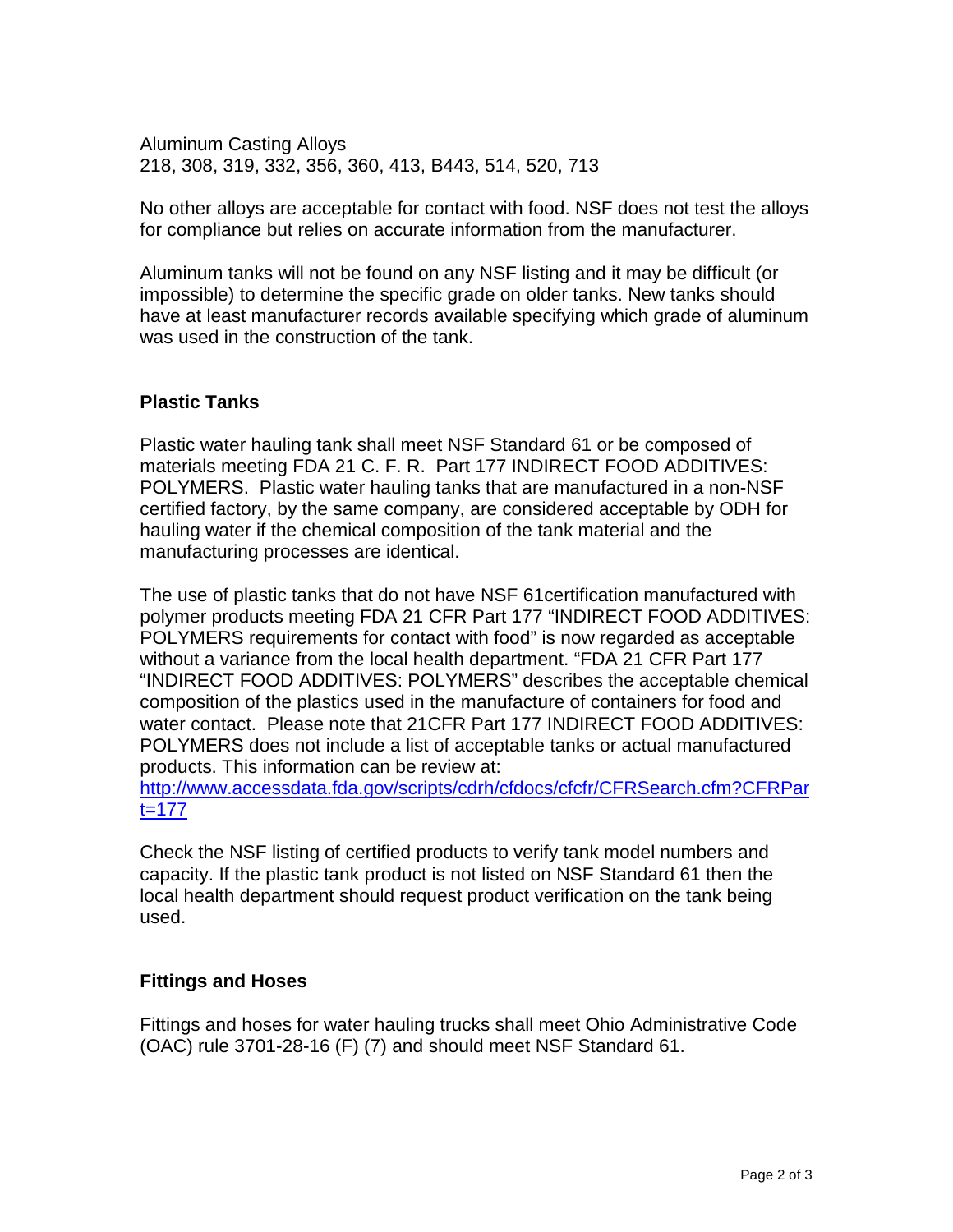Aluminum Casting Alloys 218, 308, 319, 332, 356, 360, 413, B443, 514, 520, 713

No other alloys are acceptable for contact with food. NSF does not test the alloys for compliance but relies on accurate information from the manufacturer.

Aluminum tanks will not be found on any NSF listing and it may be difficult (or impossible) to determine the specific grade on older tanks. New tanks should have at least manufacturer records available specifying which grade of aluminum was used in the construction of the tank.

# **Plastic Tanks**

Plastic water hauling tank shall meet NSF Standard 61 or be composed of materials meeting FDA 21 C. F. R. Part 177 INDIRECT FOOD ADDITIVES: POLYMERS. Plastic water hauling tanks that are manufactured in a non-NSF certified factory, by the same company, are considered acceptable by ODH for hauling water if the chemical composition of the tank material and the manufacturing processes are identical.

The use of plastic tanks that do not have NSF 61certification manufactured with polymer products meeting FDA 21 CFR Part 177 "INDIRECT FOOD ADDITIVES: POLYMERS requirements for contact with food" is now regarded as acceptable without a variance from the local health department. "FDA 21 CFR Part 177 "INDIRECT FOOD ADDITIVES: POLYMERS" describes the acceptable chemical composition of the plastics used in the manufacture of containers for food and water contact. Please note that 21CFR Part 177 INDIRECT FOOD ADDITIVES: POLYMERS does not include a list of acceptable tanks or actual manufactured products. This information can be review at:

[http://www.accessdata.fda.gov/scripts/cdrh/cfdocs/cfcfr/CFRSearch.cfm?CFRPar](http://www.accessdata.fda.gov/scripts/cdrh/cfdocs/cfcfr/CFRSearch.cfm?CFRPart=177) [t=177](http://www.accessdata.fda.gov/scripts/cdrh/cfdocs/cfcfr/CFRSearch.cfm?CFRPart=177)

Check the NSF listing of certified products to verify tank model numbers and capacity. If the plastic tank product is not listed on NSF Standard 61 then the local health department should request product verification on the tank being used.

# **Fittings and Hoses**

Fittings and hoses for water hauling trucks shall meet Ohio Administrative Code (OAC) rule 3701-28-16 (F) (7) and should meet NSF Standard 61.